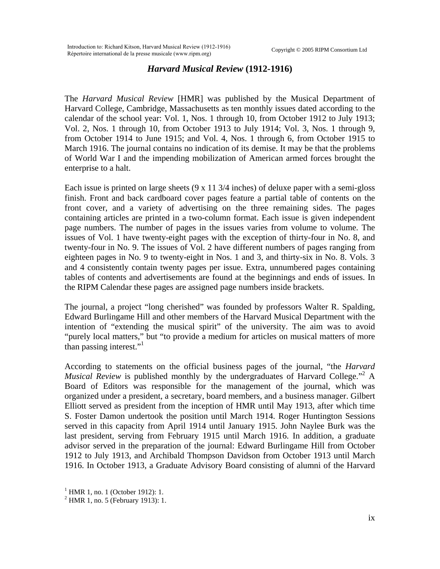## *Harvard Musical Review* **(1912-1916)**

The *Harvard Musical Review* [HMR] was published by the Musical Department of Harvard College, Cambridge, Massachusetts as ten monthly issues dated according to the calendar of the school year: Vol. 1, Nos. 1 through 10, from October 1912 to July 1913; Vol. 2, Nos. 1 through 10, from October 1913 to July 1914; Vol. 3, Nos. 1 through 9, from October 1914 to June 1915; and Vol. 4, Nos. 1 through 6, from October 1915 to March 1916. The journal contains no indication of its demise. It may be that the problems of World War I and the impending mobilization of American armed forces brought the enterprise to a halt.

Each issue is printed on large sheets (9 x 11 3/4 inches) of deluxe paper with a semi-gloss finish. Front and back cardboard cover pages feature a partial table of contents on the front cover, and a variety of advertising on the three remaining sides. The pages containing articles are printed in a two-column format. Each issue is given independent page numbers. The number of pages in the issues varies from volume to volume. The issues of Vol. 1 have twenty-eight pages with the exception of thirty-four in No. 8, and twenty-four in No. 9. The issues of Vol. 2 have different numbers of pages ranging from eighteen pages in No. 9 to twenty-eight in Nos. 1 and 3, and thirty-six in No. 8. Vols. 3 and 4 consistently contain twenty pages per issue. Extra, unnumbered pages containing tables of contents and advertisements are found at the beginnings and ends of issues. In the RIPM Calendar these pages are assigned page numbers inside brackets.

The journal, a project "long cherished" was founded by professors Walter R. Spalding, Edward Burlingame Hill and other members of the Harvard Musical Department with the intention of "extending the musical spirit" of the university. The aim was to avoid "purely local matters," but "to provide a medium for articles on musical matters of more than passing interest."<sup>[1](#page-0-0)</sup>

According to statements on the official business pages of the journal, "the *Harvard*  Musical Review is published monthly by the undergraduates of Harvard College."<sup>[2](#page-0-1)</sup> A Board of Editors was responsible for the management of the journal, which was organized under a president, a secretary, board members, and a business manager. Gilbert Elliott served as president from the inception of HMR until May 1913, after which time S. Foster Damon undertook the position until March 1914. Roger Huntington Sessions served in this capacity from April 1914 until January 1915. John Naylee Burk was the last president, serving from February 1915 until March 1916. In addition, a graduate advisor served in the preparation of the journal: Edward Burlingame Hill from October 1912 to July 1913, and Archibald Thompson Davidson from October 1913 until March 1916. In October 1913, a Graduate Advisory Board consisting of alumni of the Harvard

<span id="page-0-0"></span><sup>&</sup>lt;sup>1</sup> HMR 1, no. 1 (October 1912): 1.

<span id="page-0-1"></span> $^{2}$  HMR 1, no. 5 (February 1913): 1.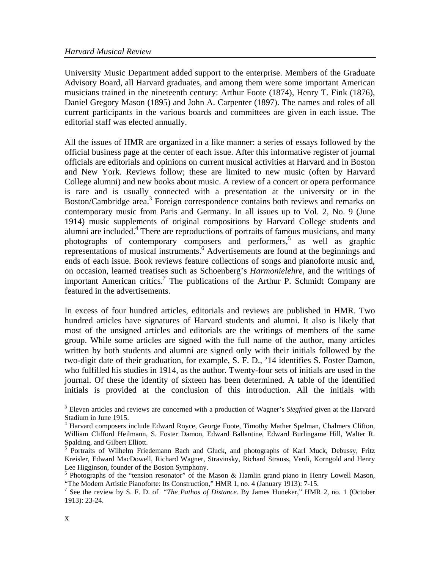University Music Department added support to the enterprise. Members of the Graduate Advisory Board, all Harvard graduates, and among them were some important American musicians trained in the nineteenth century: Arthur Foote (1874), Henry T. Fink (1876), Daniel Gregory Mason (1895) and John A. Carpenter (1897). The names and roles of all current participants in the various boards and committees are given in each issue. The editorial staff was elected annually.

All the issues of HMR are organized in a like manner: a series of essays followed by the official business page at the center of each issue. After this informative register of journal officials are editorials and opinions on current musical activities at Harvard and in Boston and New York. Reviews follow; these are limited to new music (often by Harvard College alumni) and new books about music. A review of a concert or opera performance is rare and is usually connected with a presentation at the university or in the Boston/Cambridge area.<sup>[3](#page-1-0)</sup> Foreign correspondence contains both reviews and remarks on contemporary music from Paris and Germany. In all issues up to Vol. 2, No. 9 (June 1914) music supplements of original compositions by Harvard College students and alumni are included.<sup>[4](#page-1-1)</sup> There are reproductions of portraits of famous musicians, and many photographsof contemporary composers and performers,<sup>5</sup> as well as graphic representations of musical instruments.<sup>6</sup> Advertisements are found at the beginnings and ends of each issue. Book reviews feature collections of songs and pianoforte music and, on occasion, learned treatises such as Schoenberg's *Harmonielehre*, and the writings of important American critics.<sup>[7](#page-1-4)</sup> The publications of the Arthur P. Schmidt Company are featured in the advertisements.

In excess of four hundred articles, editorials and reviews are published in HMR. Two hundred articles have signatures of Harvard students and alumni. It also is likely that most of the unsigned articles and editorials are the writings of members of the same group. While some articles are signed with the full name of the author, many articles written by both students and alumni are signed only with their initials followed by the two-digit date of their graduation, for example, S. F. D., '14 identifies S. Foster Damon, who fulfilled his studies in 1914, as the author. Twenty-four sets of initials are used in the journal. Of these the identity of sixteen has been determined. A table of the identified initials is provided at the conclusion of this introduction. All the initials with

<span id="page-1-0"></span><sup>&</sup>lt;sup>3</sup> Eleven articles and reviews are concerned with a production of Wagner's *Siegfried* given at the Harvard Stadium in June 1915.

<span id="page-1-1"></span><sup>4</sup> Harvard composers include Edward Royce, George Foote, Timothy Mather Spelman, Chalmers Clifton, William Clifford Heilmann, S. Foster Damon, Edward Ballantine, Edward Burlingame Hill, Walter R. Spalding, and Gilbert Elliott.

<span id="page-1-2"></span><sup>5</sup> Portraits of Wilhelm Friedemann Bach and Gluck, and photographs of Karl Muck, Debussy, Fritz Kreisler, Edward MacDowell, Richard Wagner, Stravinsky, Richard Strauss, Verdi, Korngold and Henry Lee Higginson, founder of the Boston Symphony.

<span id="page-1-3"></span><sup>&</sup>lt;sup>6</sup> Photographs of the "tension resonator" of the Mason & Hamlin grand piano in Henry Lowell Mason, "The Modern Artistic Pianoforte: Its Construction," HMR 1, no. 4 (January 1913): 7-15.

<span id="page-1-4"></span><sup>7</sup> See the review by S. F. D. of "*The Pathos of Distance.* By James Huneker," HMR 2, no. 1 (October 1913): 23-24.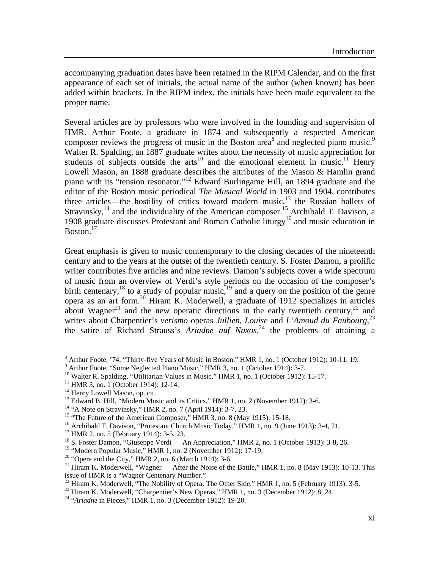accompanying graduation dates have been retained in the RIPM Calendar, and on the first appearance of each set of initials, the actual name of the author (when known) has been added within brackets. In the RIPM index, the initials have been made equivalent to the proper name.

Several articles are by professors who were involved in the founding and supervision of HMR. Arthur Foote, a graduate in 1874 and subsequently a respected American composer reviews the progress of music in the Boston area<sup>8</sup> and neglected piano music.<sup>9</sup> Walter R. Spalding, an 1887 graduate writes about the necessity of music appreciation for students of subjects outside the arts<sup>10</sup> and the emotional element in music.<sup>11</sup> Henry Lowell Mason, an 1888 graduate describes the attributes of the Mason & Hamlin grand piano with its "tension resonator."[12](#page-2-4) Edward Burlingame Hill, an 1894 graduate and the editor of the Boston music periodical *The Musical World* in 1903 and 1904, contributes three articles—the hostility of critics toward modern music, $13$  the Russian ballets of Stravinsky,<sup>14</sup> and the individuality of the American composer.<sup>15</sup> Archibald T. Davison, a 1908 graduate discusses Protestant and Roman Catholic liturgy<sup>16</sup> and music education in Boston. $17$ 

Great emphasis is given to music contemporary to the closing decades of the nineteenth century and to the years at the outset of the twentieth century. S. Foster Damon, a prolific writer contributes five articles and nine reviews. Damon's subjects cover a wide spectrum of music from an overview of Verdi's style periods on the occasion of the composer's birth centenary,<sup>18</sup> to a study of popular music,  $19$  and a query on the position of the genre opera as an art form.[20](#page-2-12) Hiram K. Moderwell, a graduate of 1912 specializes in articles about Wagner<sup>21</sup> and the new operatic directions in the early twentieth century,<sup>22</sup> and writes about Charpentier's *verismo* operas *Jullien*, *Louise* and *L'Amoud du Faubourg*, [23](#page-2-15) the satire of Richard Strauss's *Ariadne auf Naxos*, [24](#page-2-16) the problems of attaining a

<span id="page-2-2"></span> $10$  Walter R. Spalding, "Utilitarian Values in Music," HMR 1, no. 1 (October 1912): 15-17.

<span id="page-2-0"></span><sup>&</sup>lt;sup>8</sup> Arthur Foote, '74, "Thirty-five Years of Music in Boston," HMR 1, no. 1 (October 1912): 10-11, 19.

<span id="page-2-1"></span><sup>&</sup>lt;sup>9</sup> Arthur Foote, "Some Neglected Piano Music," HMR 3, no. 1 (October 1914): 3-7.

<span id="page-2-3"></span><sup>&</sup>lt;sup>11</sup> HMR 3, no. 1 (October 1914): 12-14.

<span id="page-2-4"></span><sup>&</sup>lt;sup>12</sup> Henry Lowell Mason, op. cit.

<span id="page-2-5"></span><sup>&</sup>lt;sup>13</sup> Edward B. Hill, "Modern Music and its Critics," HMR 1, no. 2 (November 1912): 3-6.

<span id="page-2-6"></span><sup>14 &</sup>quot;A Note on Stravinsky," HMR 2, no. 7 (April 1914): 3-7, 23.

<span id="page-2-7"></span><sup>&</sup>lt;sup>15</sup> "The Future of the American Composer," HMR 3, no. 8 (May 1915): 15-18.

<span id="page-2-8"></span><sup>&</sup>lt;sup>16</sup> Archibald T. Davison, "Protestant Church Music Today," HMR 1, no. 9 (June 1913): 3-4, 21.

<span id="page-2-9"></span><sup>17</sup> HMR 2, no. 5 (February 1914): 3-5, 23.

<span id="page-2-10"></span><sup>&</sup>lt;sup>18</sup> S. Foster Damon, "Giuseppe Verdi — An Appreciation," HMR 2, no. 1 (October 1913): 3-8, 26.

<span id="page-2-11"></span><sup>&</sup>lt;sup>19</sup> "Modern Popular Music," HMR 1, no. 2 (November 1912): 17-19.

<span id="page-2-12"></span> $20$  "Opera and the City," HMR 2, no. 6 (March 1914): 3-6.

<span id="page-2-13"></span><sup>&</sup>lt;sup>21</sup> Hiram K. Moderwell, "Wagner — After the Noise of the Battle," HMR 1, no. 8 (May 1913): 10-13. This issue of HMR is a "Wagner Centenary Number."

<span id="page-2-14"></span> $^{22}$  Hiram K. Moderwell, "The Nobility of Opera: The Other Side," HMR 1, no. 5 (February 1913): 3-5.

<span id="page-2-15"></span><sup>&</sup>lt;sup>23</sup> Hiram K. Moderwell, "Charpentier's New Operas," HMR 1, no. 3 (December 1912): 8, 24.

<span id="page-2-16"></span><sup>24 &</sup>quot;*Ariadne* in Pieces," HMR 1, no. 3 (December 1912): 19-20.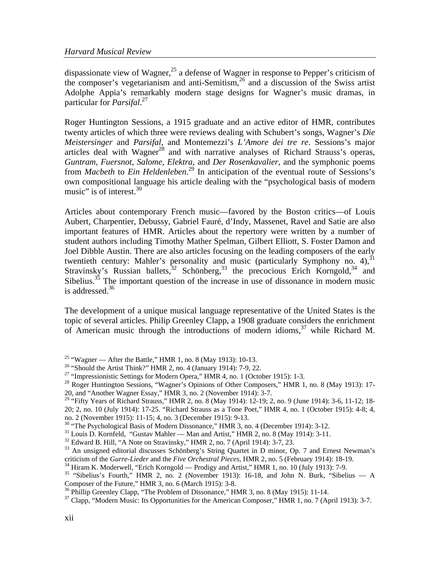dispassionate view of Wagner,<sup>25</sup> a defense of Wagner in response to Pepper's criticism of the composer's vegetarianism and anti-Semitism,[26](#page-3-1) and a discussion of the Swiss artist Adolphe Appia's remarkably modern stage designs for Wagner's music dramas, in particular for *Parsifal*. [27](#page-3-2) 

Roger Huntington Sessions, a 1915 graduate and an active editor of HMR, contributes twenty articles of which three were reviews dealing with Schubert's songs, Wagner's *Die Meistersinger* and *Parsifal*, and Montemezzi's *L'Amore dei tre re*. Sessions's major articles deal with Wagner<sup>28</sup> and with narrative analyses of Richard Strauss's operas, *Guntram*, *Fuersnot*, *Salome*, *Elektra*, and *Der Rosenkavalier*, and the symphonic poems from *Macbeth* to *Ein Heldenleben*. [29](#page-3-4) In anticipation of the eventual route of Sessions's own compositional language his article dealing with the "psychological basis of modern music" is of interest. $30$ 

Articles about contemporary French music—favored by the Boston critics—of Louis Aubert, Charpentier, Debussy, Gabriel Fauré, d'Indy, Massenet, Ravel and Satie are also important features of HMR. Articles about the repertory were written by a number of student authors including Timothy Mather Spelman, Gilbert Elliott, S. Foster Damon and Joel Dibble Austin. There are also articles focusing on the leading composers of the early twentieth century: Mahler's personality and music (particularly Symphony no. 4),  $31$ Stravinsky's Russian ballets, $32$  Schönberg,  $33$  the precocious Erich Korngold,  $34$  and Sibelius.<sup>35</sup> The important question of the increase in use of dissonance in modern music is addressed.<sup>36</sup>

The development of a unique musical language representative of the United States is the topic of several articles. Philip Greenley Clapp, a 1908 graduate considers the enrichment of American music through the introductions of modern idioms,<sup>37</sup> while Richard M.

<span id="page-3-6"></span> $31$  Louis D. Kornfeld, "Gustav Mahler — Man and Artist," HMR 2, no. 8 (May 1914): 3-11.

<span id="page-3-7"></span> $32$  Edward B. Hill, "A Note on Stravinsky," HMR 2, no. 7 (April 1914): 3-7, 23.

<span id="page-3-0"></span><sup>&</sup>lt;sup>25</sup> "Wagner — After the Battle," HMR 1, no. 8 (May 1913): 10-13.

<span id="page-3-1"></span><sup>&</sup>lt;sup>26</sup> "Should the Artist Think?" HMR 2, no. 4 (January 1914): 7-9, 22.

<span id="page-3-2"></span><sup>&</sup>lt;sup>27</sup> "Impressionistic Settings for Modern Opera," HMR 4, no. 1 (October 1915): 1-3.

<span id="page-3-3"></span><sup>&</sup>lt;sup>28</sup> Roger Huntington Sessions, "Wagner's Opinions of Other Composers," HMR 1, no. 8 (May 1913): 17-20, and "Another Wagner Essay," HMR 3, no. 2 (November 1914): 3-7.

<span id="page-3-4"></span><sup>&</sup>lt;sup>29</sup> "Fifty Years of Richard Strauss," HMR 2, no. 8 (May 1914): 12-19; 2, no. 9 (June 1914): 3-6, 11-12; 18-20; 2, no. 10 (July 1914): 17-25. "Richard Strauss as a Tone Poet," HMR 4, no. 1 (October 1915): 4-8; 4, no. 2 (November 1915): 11-15; 4, no. 3 (December 1915): 9-13.

<span id="page-3-5"></span><sup>&</sup>lt;sup>30</sup> "The Psychological Basis of Modern Dissonance," HMR 3, no. 4 (December 1914): 3-12.

<span id="page-3-8"></span> $33$  An unsigned editorial discusses Schönberg's String Quartet in D minor, Op. 7 and Ernest Newman's criticism of the *Gurre-Lieder* and the *Five Orchestral Pieces*, HMR 2, no. 5 (February 1914): 18-19.

<span id="page-3-9"></span><sup>&</sup>lt;sup>34</sup> Hiram K. Moderwell, "Erich Korngold — Prodigy and Artist," HMR 1, no. 10 (July 1913): 7-9.

<span id="page-3-10"></span><sup>&</sup>lt;sup>35</sup> "Sibelius's Fourth," HMR 2, no. 2 (November 1913): 16-18, and John N. Burk, "Sibelius — A Composer of the Future," HMR 3, no. 6 (March 1915): 3-8.<br><sup>36</sup> Phillip Greenley Clapp, "The Problem of Dissonance," HMR 3, no. 8 (May 1915): 11-14.

<span id="page-3-11"></span>

<span id="page-3-12"></span><sup>&</sup>lt;sup>37</sup> Clapp, "Modern Music: Its Opportunities for the American Composer," HMR 1, no. 7 (April 1913): 3-7.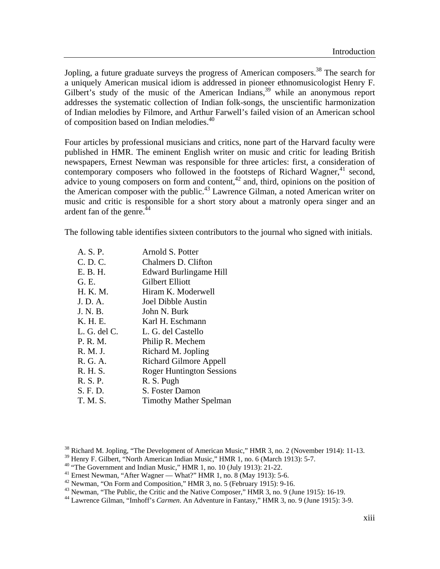Jopling, a future graduate surveys the progress of American composers.<sup>38</sup> The search for a uniquely American musical idiom is addressed in pioneer ethnomusicologist Henry F. Gilbert's study of the music of the American Indians,  $39$  while an anonymous report addresses the systematic collection of Indian folk-songs, the unscientific harmonization of Indian melodies by Filmore, and Arthur Farwell's failed vision of an American school of composition based on Indian melodies.<sup>[40](#page-4-2)</sup>

Four articles by professional musicians and critics, none part of the Harvard faculty were published in HMR. The eminent English writer on music and critic for leading British newspapers, Ernest Newman was responsible for three articles: first, a consideration of contemporary composers who followed in the footsteps of Richard Wagner,  $4^1$  second, advice to young composers on form and content,  $42$  and, third, opinions on the position of the American composer with the public.<sup>43</sup> Lawrence Gilman, a noted American writer on music and critic is responsible for a short story about a matronly opera singer and an ardent fan of the genre.<sup>44</sup>

The following table identifies sixteen contributors to the journal who signed with initials.

| A. S. P.     | Arnold S. Potter                 |
|--------------|----------------------------------|
| C. D. C.     | Chalmers D. Clifton              |
| E. B. H.     | <b>Edward Burlingame Hill</b>    |
| G. E.        | Gilbert Elliott                  |
| H. K. M.     | Hiram K. Moderwell               |
| J. D. A.     | Joel Dibble Austin               |
| J. N. B.     | John N. Burk                     |
| K. H. E.     | Karl H. Eschmann                 |
| L. G. del C. | L. G. del Castello               |
| P. R. M.     | Philip R. Mechem                 |
| R. M. J.     | Richard M. Jopling               |
| R. G. A.     | <b>Richard Gilmore Appell</b>    |
| R. H. S.     | <b>Roger Huntington Sessions</b> |
| R. S. P.     | R. S. Pugh                       |
| S. F. D.     | S. Foster Damon                  |
| T. M. S.     | <b>Timothy Mather Spelman</b>    |

<span id="page-4-0"></span><sup>&</sup>lt;sup>38</sup> Richard M. Jopling, "The Development of American Music," HMR 3, no. 2 (November 1914): 11-13.<br><sup>39</sup> Henry F. Gilbert, "North American Indian Music," HMR 1, no. 6 (March 1913): 5-7.

<span id="page-4-1"></span>

<span id="page-4-2"></span> $30$  "The Government and Indian Music," HMR 1, no. 10 (July 1913): 21-22.

<span id="page-4-3"></span> $41$  Ernest Newman, "After Wagner — What?" HMR 1, no. 8 (May 1913): 5-6.

<span id="page-4-4"></span> $42$  Newman, "On Form and Composition," HMR 3, no. 5 (February 1915): 9-16.

<span id="page-4-5"></span><sup>&</sup>lt;sup>43</sup> Newman, "The Public, the Critic and the Native Composer," HMR 3, no. 9 (June 1915): 16-19.

<span id="page-4-6"></span><sup>44</sup> Lawrence Gilman, "Imhoff's *Carmen*. An Adventure in Fantasy," HMR 3, no. 9 (June 1915): 3-9.